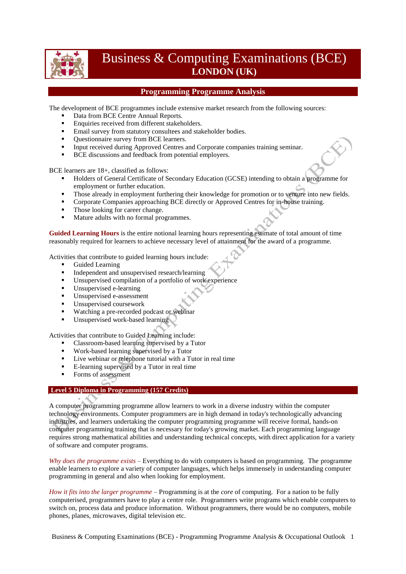

# Business & Computing Examinations (BCE) **LONDON (UK)**

# **Programming Programme Analysis**

The development of BCE programmes include extensive market research from the following sources:

- Data from BCE Centre Annual Reports.
- **Enquiries received from different stakeholders.**
- **Email survey from statutory consultees and stakeholder bodies.**
- Ouestionnaire survey from BCE learners.
- Input received during Approved Centres and Corporate companies training seminar.
- **BCE** discussions and feedback from potential employers.

BCE learners are 18+, classified as follows:

- Holders of General Certificate of Secondary Education (GCSE) intending to obtain a programme for employment or further education.
- Those already in employment furthering their knowledge for promotion or to venture into new fields.
- **Corporate Companies approaching BCE directly or Approved Centres for in-house training.**
- Those looking for career change.
- Mature adults with no formal programmes.

**Guided Learning Hours** is the entire notional learning hours representing estimate of total amount of time reasonably required for learners to achieve necessary level of attainment for the award of a programme.

Activities that contribute to guided learning hours include:

- Guided Learning
- Independent and unsupervised research/learning<br>Insupervised compilation of a portfolio of work
- Unsupervised compilation of a portfolio of work experience
- Unsupervised e-learning
- Unsupervised e-assessment
- Unsupervised coursework
- **Watching a pre-recorded podcast or webinar**
- Unsupervised work-based learning

Activities that contribute to Guided Learning include:

- Classroom-based learning supervised by a Tutor
- Work-based learning supervised by a Tutor
- Live webinar or telephone tutorial with a Tutor in real time
- E-learning supervised by a Tutor in real time
- Forms of assessment

### **Level 5 Diploma in Programming (157 Credits)**

A computer programming programme allow learners to work in a diverse industry within the computer technology environments. Computer programmers are in high demand in today's technologically advancing industries, and learners undertaking the computer programming programme will receive formal, hands-on computer programming training that is necessary for today's growing market. Each programming language requires strong mathematical abilities and understanding technical concepts, with direct application for a variety of software and computer programs.

*Why does the programme exists* – Everything to do with computers is based on programming. The programme enable learners to explore a variety of computer languages, which helps immensely in understanding computer programming in general and also when looking for employment.

*How it fits into the larger programme* – Programming is at the *core* of computing. For a nation to be fully computerised, programmers have to play a centre role. Programmers write programs which enable computers to switch on, process data and produce information. Without programmers, there would be no computers, mobile phones, planes, microwaves, digital television etc.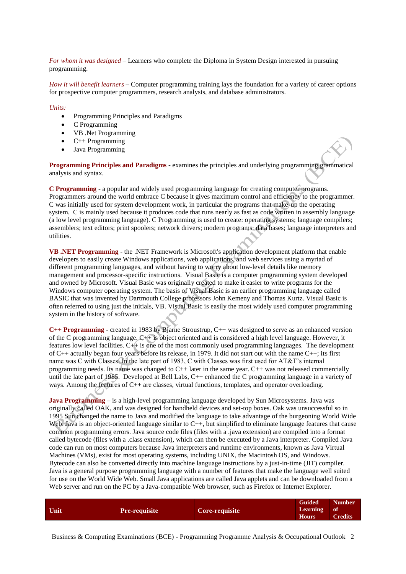*For whom it was designed* – Learners who complete the Diploma in System Design interested in pursuing programming.

*How it will benefit learners* – Computer programming training lays the foundation for a variety of career options for prospective computer programmers, research analysts, and database administrators.

#### *Units:*

- Programming Principles and Paradigms
- C Programming
- VB .Net Programming
- $\bullet$  C++ Programming
- Java Programming

**Programming Principles and Paradigms** - examines the principles and underlying programming grammatical analysis and syntax.

**C Programming** - a popular and widely used programming language for creating computer programs. Programmers around the world embrace C because it gives maximum control and efficiency to the programmer. C was initially used for system development work, in particular the programs that make-up the operating system. C is mainly used because it produces code that runs nearly as fast as code written in assembly language (a low level programming language). C Programming is used to create: operating systems; language compilers; assemblers; text editors; print spoolers; network drivers; modern programs; data bases; language interpreters and utilities.

**VB .NET Programming** - the .NET Framework is Microsoft's application development platform that enable developers to easily create Windows applications, web applications, and web services using a myriad of different programming languages, and without having to worry about low-level details like memory management and processor-specific instructions. Visual Basic is a computer programming system developed and owned by Microsoft. Visual Basic was originally created to make it easier to write programs for the Windows computer operating system. The basis of Visual Basic is an earlier programming language called BASIC that was invented by Dartmouth College professors John Kemeny and Thomas Kurtz. Visual Basic is often referred to using just the initials, VB. Visual Basic is easily the most widely used computer programming system in the history of software.

**C++ Programming** - created in 1983 by Bjarne Stroustrup, C++ was designed to serve as an enhanced version of the C programming language. C++ is object oriented and is considered a high level language. However, it features low level facilities. C++ is one of the most commonly used programming languages. The development of C++ actually began four years before its release, in 1979. It did not start out with the name C++; its first name was C with Classes. In the late part of 1983, C with Classes was first used for AT&T's internal programming needs. Its name was changed to C++ later in the same year. C++ was not released commercially until the late part of 1985. Developed at Bell Labs, C++ enhanced the C programming language in a variety of ways. Among the features of C++ are classes, virtual functions, templates, and operator overloading.

**Java Programming** – is a high-level programming language developed by Sun Microsystems. Java was originally called OAK, and was designed for handheld devices and set-top boxes. Oak was unsuccessful so in 1995 Sun changed the name to Java and modified the language to take advantage of the burgeoning World Wide Web. Java is an object-oriented language similar to C++, but simplified to eliminate language features that cause common programming errors. Java source code files (files with a .java extension) are compiled into a format called bytecode (files with a .class extension), which can then be executed by a Java interpreter. Compiled Java code can run on most computers because Java interpreters and runtime environments, known as Java Virtual Machines (VMs), exist for most operating systems, including UNIX, the Macintosh OS, and Windows. Bytecode can also be converted directly into machine language instructions by a just-in-time (JIT) compiler. Java is a general purpose programming language with a number of features that make the language well suited for use on the World Wide Web. Small Java applications are called Java applets and can be downloaded from a Web server and run on the PC by a Java-compatible Web browser, such as Firefox or Internet Explorer.

| Unit<br>Pre-requisite<br><b>Core-requisite</b> | <b>Guided</b><br>Learning of<br><b>Hours</b> | <b>Number</b><br><b>Credits</b> |
|------------------------------------------------|----------------------------------------------|---------------------------------|
|------------------------------------------------|----------------------------------------------|---------------------------------|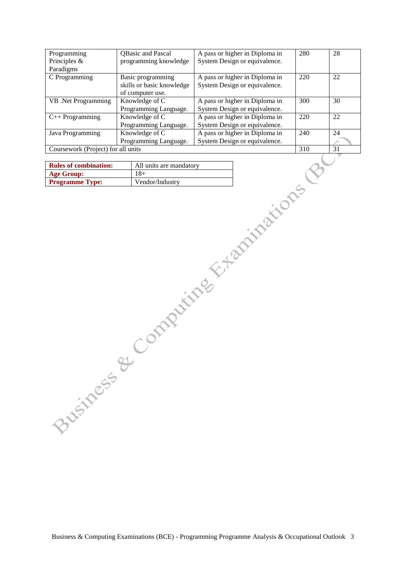| Programming                        | QBasic and Pascal         | A pass or higher in Diploma in | 280 | 28 |
|------------------------------------|---------------------------|--------------------------------|-----|----|
| Principles $\&$                    | programming knowledge     | System Design or equivalence.  |     |    |
| Paradigms                          |                           |                                |     |    |
| C Programming                      | Basic programming         | A pass or higher in Diploma in | 220 | 22 |
|                                    | skills or basic knowledge | System Design or equivalence.  |     |    |
|                                    | of computer use.          |                                |     |    |
| VB .Net Programming                | Knowledge of C            | A pass or higher in Diploma in | 300 | 30 |
|                                    | Programming Language.     | System Design or equivalence.  |     |    |
| $C++$ Programming                  | Knowledge of C            | A pass or higher in Diploma in | 220 | 22 |
|                                    | Programming Language.     | System Design or equivalence.  |     |    |
| Java Programming                   | Knowledge of C            | A pass or higher in Diploma in | 240 | 24 |
|                                    | Programming Language.     | System Design or equivalence.  |     |    |
| Coursework (Project) for all units |                           |                                | 310 | 31 |

| <b>Rules of combination:</b> | All units are mandatory |
|------------------------------|-------------------------|
| <b>Age Group:</b>            | $18+$                   |
| <b>Programme Type:</b>       | Vendor/Industry         |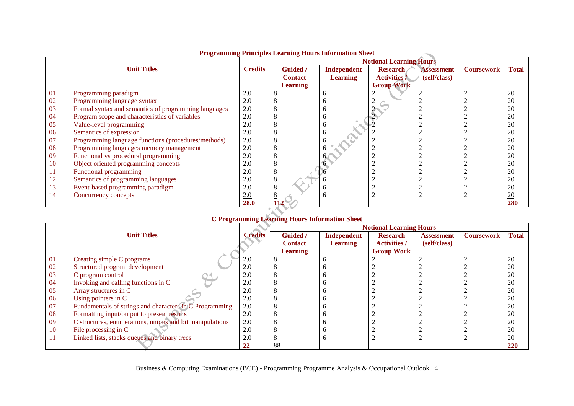|    | Trogramming Trinciples Learning Trours information Sheet |                |                 |                                |                     |                   |                   |                  |  |
|----|----------------------------------------------------------|----------------|-----------------|--------------------------------|---------------------|-------------------|-------------------|------------------|--|
|    |                                                          |                |                 | <b>Notional Learning Hours</b> |                     |                   |                   |                  |  |
|    | <b>Unit Titles</b>                                       | <b>Credits</b> | Guided /        | Independent                    | <b>Research</b>     | <b>Assessment</b> | <b>Coursework</b> | Total            |  |
|    |                                                          |                | <b>Contact</b>  | <b>Learning</b>                | <b>Activities</b> / | (self/class)      |                   |                  |  |
|    |                                                          |                | <b>Learning</b> |                                | <b>Group Work</b>   |                   |                   |                  |  |
| 01 | Programming paradigm                                     | 2.0            |                 | h                              |                     |                   |                   | 20               |  |
| 02 | Programming language syntax                              | 2.0            |                 |                                |                     |                   |                   | 20               |  |
| 03 | Formal syntax and semantics of programming languages     | 2.0            | ð               |                                |                     |                   |                   | 20               |  |
| 04 | Program scope and characteristics of variables           | 2.0            |                 |                                |                     |                   |                   | 20               |  |
| 05 | Value-level programming                                  | 2.0            |                 | n                              |                     |                   |                   | 20               |  |
| 06 | Semantics of expression                                  | 2.0            |                 |                                |                     |                   |                   | 20               |  |
| 07 | Programming language functions (procedures/methods)      | 2.0            |                 |                                |                     |                   |                   | 20               |  |
| 08 | Programming languages memory management                  | 2.0            |                 |                                |                     |                   |                   | 20               |  |
| 09 | Functional vs procedural programming                     | 2.0            |                 |                                |                     |                   |                   | 20               |  |
| 10 | Object oriented programming concepts                     | 2.0            |                 |                                |                     |                   |                   | 20               |  |
| 11 | Functional programming                                   | 2.0            | 8               |                                |                     |                   |                   | 20               |  |
| 12 | Semantics of programming languages                       | 2.0            | 8               |                                |                     |                   |                   | 20               |  |
| 13 | Event-based programming paradigm                         | 2.0            | 8               |                                |                     |                   |                   | 20               |  |
| 14 | Concurrency concepts                                     | 2.0            |                 |                                |                     |                   |                   | $\underline{20}$ |  |
|    |                                                          | 28.0           | 112             |                                |                     |                   |                   | 280              |  |

## **Programming Principles Learning Hours Information Sheet**

# **C Programming Learning Hours Information Sheet**

|    |                                                          |                |                 |                 | <b>Notional Learning Hours</b> |                   |                   |              |
|----|----------------------------------------------------------|----------------|-----------------|-----------------|--------------------------------|-------------------|-------------------|--------------|
|    | <b>Unit Titles</b>                                       | <b>Credits</b> | <b>Guided</b>   | Independent     | <b>Research</b>                | <b>Assessment</b> | <b>Coursework</b> | <b>Total</b> |
|    |                                                          |                | <b>Contact</b>  | <b>Learning</b> | <b>Activities /</b>            | (self/class)      |                   |              |
|    |                                                          |                | <b>Learning</b> |                 | <b>Group Work</b>              |                   |                   |              |
| 01 | Creating simple C programs                               | 2.0            |                 |                 |                                |                   |                   | 20           |
| 02 | Structured program development                           | 2.0            |                 |                 |                                |                   |                   | 20           |
| 03 | C program control                                        | 2.0            |                 |                 |                                |                   |                   | 20           |
| 04 | Invoking and calling functions in C                      | 2.0            |                 |                 |                                |                   |                   | 20           |
| 05 | Array structures in C                                    | 2.0            |                 |                 |                                |                   |                   | 20           |
| 06 | Using pointers in C                                      | 2.0            |                 |                 |                                |                   |                   | 20           |
| 07 | Fundamentals of strings and characters in C Programming  | 2.0            |                 |                 |                                |                   |                   | 20           |
| 08 | Formatting input/output to present results               | 2.0            |                 |                 |                                |                   |                   | 20           |
| 09 | C structures, enumerations, unions and bit manipulations | 2.0            |                 |                 |                                |                   |                   | 20           |
| 10 | File processing in C                                     | 2.0            |                 |                 |                                |                   |                   | 20           |
| 11 | Linked lists, stacks queues and binary trees             | 2.0            |                 |                 |                                |                   |                   | 20           |
|    |                                                          | 22             | 88              |                 |                                |                   |                   | 220          |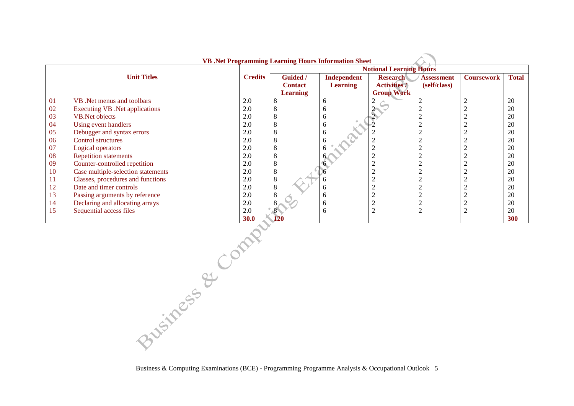|    | <b>VB</b> .Net Programming Learning Hours Information Sheet |                |                 |                                |                     |                   |                   |                 |  |  |
|----|-------------------------------------------------------------|----------------|-----------------|--------------------------------|---------------------|-------------------|-------------------|-----------------|--|--|
|    |                                                             |                |                 | <b>Notional Learning Hours</b> |                     |                   |                   |                 |  |  |
|    | <b>Unit Titles</b>                                          | <b>Credits</b> | <b>Guided</b> / | Independent                    | <b>Research</b>     | <b>Assessment</b> | <b>Coursework</b> | <b>Total</b>    |  |  |
|    |                                                             |                | <b>Contact</b>  | <b>Learning</b>                | <b>Activities</b> / | (self/class)      |                   |                 |  |  |
|    |                                                             |                | <b>Learning</b> |                                | <b>Group Work</b>   |                   |                   |                 |  |  |
| 01 | VB. Net menus and toolbars                                  | 2.0            | 8               | 6                              | 2                   |                   |                   | 20              |  |  |
| 02 | <b>Executing VB</b> .Net applications                       | 2.0            |                 | h                              |                     |                   |                   | 20              |  |  |
| 03 | VB. Net objects                                             | 2.0            |                 | <sub>0</sub>                   |                     |                   |                   | 20              |  |  |
| 04 | Using event handlers                                        | 2.0            |                 | 6                              |                     |                   |                   | 20              |  |  |
| 05 | Debugger and syntax errors                                  | 2.0            |                 |                                |                     |                   |                   | 20              |  |  |
| 06 | <b>Control structures</b>                                   | 2.0            | ◠               |                                |                     |                   |                   | 20              |  |  |
| 07 | Logical operators                                           | 2.0            |                 |                                |                     |                   |                   | 20              |  |  |
| 08 | <b>Repetition statements</b>                                | 2.0            |                 |                                |                     |                   |                   | 20              |  |  |
| 09 | Counter-controlled repetition                               | 2.0            |                 |                                |                     |                   |                   | 20              |  |  |
| 10 | Case multiple-selection statements                          | 2.0            | 8               |                                |                     |                   |                   | 20              |  |  |
| 11 | Classes, procedures and functions                           | 2.0            | 8               |                                |                     |                   |                   | 20              |  |  |
| 12 | Date and timer controls                                     | 2.0            | 8               | <sub>0</sub>                   |                     |                   |                   | 20              |  |  |
| 13 | Passing arguments by reference                              | 2.0            |                 |                                |                     |                   |                   | 20              |  |  |
| 14 | Declaring and allocating arrays                             | 2.0            |                 | <sub>0</sub>                   | ◠                   | $\sqrt{2}$        |                   | 20              |  |  |
| 15 | Sequential access files                                     | 2.0            |                 | 6                              | $\overline{2}$      | $\bigcap$         |                   | $\overline{20}$ |  |  |
|    |                                                             | 30.0           |                 |                                |                     |                   |                   | 300             |  |  |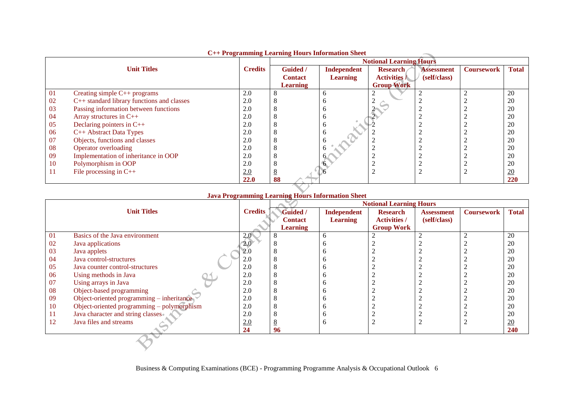|     |                                            |                |                                | C++ rrogramming Learning Hours mormation sneet |                     |                   |                   |                  |
|-----|--------------------------------------------|----------------|--------------------------------|------------------------------------------------|---------------------|-------------------|-------------------|------------------|
|     |                                            |                | <b>Notional Learning Hours</b> |                                                |                     |                   |                   |                  |
|     | <b>Unit Titles</b>                         | <b>Credits</b> | <b>Guided</b> /                | Independent                                    | <b>Research</b>     | <b>Assessment</b> | <b>Coursework</b> | <b>Total</b>     |
|     |                                            |                | <b>Contact</b>                 | <b>Learning</b>                                | <b>Activities</b> / | (self/class)      |                   |                  |
|     |                                            |                | <b>Learning</b>                |                                                | <b>Group Work</b>   |                   |                   |                  |
| 01  | Creating simple C++ programs               | 2.0            |                                | h                                              |                     |                   |                   | 20               |
| 02  | C++ standard library functions and classes | 2.0            |                                |                                                |                     |                   |                   | 20               |
| 03  | Passing information between functions      | 2.0            |                                | n                                              |                     |                   |                   | 20               |
| 04  | Array structures in C++                    | 2.0            |                                |                                                |                     |                   |                   | 20               |
| 05  | Declaring pointers in $C++$                | 2.0            |                                | n                                              |                     |                   |                   | 20               |
| -06 | C++ Abstract Data Types                    | 2.0            |                                |                                                |                     |                   |                   | 20               |
| 07  | Objects, functions and classes             | 2.0            |                                |                                                |                     |                   |                   | 20               |
| 08  | Operator overloading                       | 2.0            |                                |                                                |                     |                   |                   | 20               |
| 09  | Implementation of inheritance in OOP       | 2.0            |                                |                                                |                     |                   |                   | 20               |
| 10  | Polymorphism in OOP                        | 2.0            |                                |                                                |                     |                   |                   | 20               |
| 11  | File processing in $C++$                   | 2.0            |                                |                                                |                     |                   |                   | $\underline{20}$ |
|     |                                            | 22.0           | 88                             |                                                |                     |                   |                   | 220              |

# **C++ Programming Learning Hours Information Sheet**

# **Java Programming Learning Hours Information Sheet**

|           |                                             |                |                 |                 | <b>Notional Learning Hours</b> |                   |                   |                  |
|-----------|---------------------------------------------|----------------|-----------------|-----------------|--------------------------------|-------------------|-------------------|------------------|
|           | <b>Unit Titles</b>                          | <b>Credits</b> | Guided /        | Independent     | <b>Research</b>                | <b>Assessment</b> | <b>Coursework</b> | <b>Total</b>     |
|           |                                             |                | <b>Contact</b>  | <b>Learning</b> | <b>Activities /</b>            | (self/class)      |                   |                  |
|           |                                             |                | <b>Learning</b> |                 | <b>Group Work</b>              |                   |                   |                  |
| 01        | Basics of the Java environment              | 2.0            | 8               |                 |                                |                   |                   | 20               |
| 02        | Java applications                           | 2.0            |                 |                 |                                |                   |                   | 20               |
| 03        | Java applets                                | 2.0            |                 |                 |                                |                   |                   | 20               |
| -04       | Java control-structures                     | 2.0            |                 |                 |                                |                   |                   | 20               |
| 05        | Java counter control-structures             | 2.0            |                 |                 |                                |                   |                   | 20               |
| 06        | Using methods in Java                       | 2.0            |                 |                 |                                |                   |                   | 20               |
| 07        | Using arrays in Java                        | 2.0            |                 |                 |                                |                   |                   | 20               |
| 08        | Object-based programming                    | 2.0            |                 |                 |                                |                   |                   | 20               |
| -09       | Object-oriented programming $-$ inheritance | 2.0            | C               |                 |                                |                   |                   | 20               |
| <b>10</b> | Object-oriented programming - polymorphism  | 2.0            | ◠               |                 |                                |                   |                   | 20               |
| -11       | Java character and string classes.          | 2.0            |                 |                 |                                |                   |                   | 20               |
| -12       | Java files and streams                      | 2.0            |                 |                 |                                |                   |                   | $\underline{20}$ |
|           |                                             | 24             | 96              |                 |                                |                   |                   | <b>240</b>       |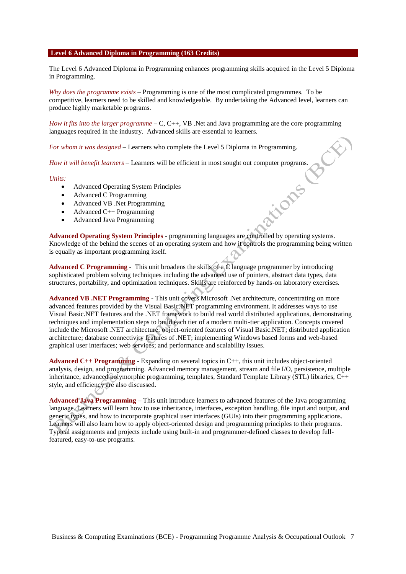#### **Level 6 Advanced Diploma in Programming (163 Credits)**

The Level 6 Advanced Diploma in Programming enhances programming skills acquired in the Level 5 Diploma in Programming.

*Why does the programme exists* – Programming is one of the most complicated programmes. To be competitive, learners need to be skilled and knowledgeable. By undertaking the Advanced level, learners can produce highly marketable programs.

*How it fits into the larger programme – C, C++, VB.* Net and Java programming are the core programming languages required in the industry. Advanced skills are essential to learners.

*For whom it was designed* – Learners who complete the Level 5 Diploma in Programming.

*How it will benefit learners* – Learners will be efficient in most sought out computer programs.

#### *Units:*

- Advanced Operating System Principles
- Advanced C Programming
- Advanced VB .Net Programming
- $\bullet$  Advanced C++ Programming
- Advanced Java Programming

**Advanced Operating System Principles** - programming languages are controlled by operating systems. Knowledge of the behind the scenes of an operating system and how it controls the programming being written is equally as important programming itself.

tions

**Advanced C Programming** - This unit broadens the skills of a C language programmer by introducing sophisticated problem solving techniques including the advanced use of pointers, abstract data types, data structures, portability, and optimization techniques. Skills are reinforced by hands-on laboratory exercises.

**Advanced VB .NET Programming** - This unit covers Microsoft .Net architecture, concentrating on more advanced features provided by the Visual Basic.NET programming environment. It addresses ways to use Visual Basic.NET features and the .NET framework to build real world distributed applications, demonstrating techniques and implementation steps to build each tier of a modern multi-tier application. Concepts covered include the Microsoft .NET architecture; object-oriented features of Visual Basic.NET; distributed application architecture; database connectivity features of .NET; implementing Windows based forms and web-based graphical user interfaces; web services; and performance and scalability issues.

**Advanced C++ Programming** - Expanding on several topics in C++, this unit includes object-oriented analysis, design, and programming. Advanced memory management, stream and file I/O, persistence, multiple inheritance, advanced polymorphic programming, templates, Standard Template Library (STL) libraries, C++ style, and efficiency are also discussed.

**Advanced Java Programming** – This unit introduce learners to advanced features of the Java programming language. Learners will learn how to use inheritance, interfaces, exception handling, file input and output, and generic types, and how to incorporate graphical user interfaces (GUIs) into their programming applications. Learners will also learn how to apply object-oriented design and programming principles to their programs. Typical assignments and projects include using built-in and programmer-defined classes to develop fullfeatured, easy-to-use programs.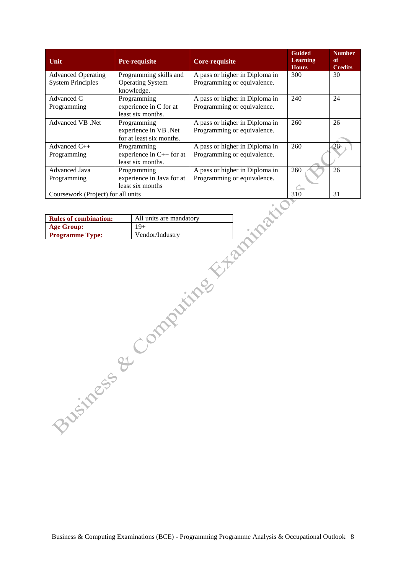| Unit                                                  | <b>Pre-requisite</b>                                             | <b>Core-requisite</b>                                         | <b>Guided</b><br><b>Learning</b><br><b>Hours</b> | <b>Number</b><br>of<br><b>Credits</b> |
|-------------------------------------------------------|------------------------------------------------------------------|---------------------------------------------------------------|--------------------------------------------------|---------------------------------------|
| <b>Advanced Operating</b><br><b>System Principles</b> | Programming skills and<br><b>Operating System</b><br>knowledge.  | A pass or higher in Diploma in<br>Programming or equivalence. | 300                                              | 30                                    |
| Advanced C<br>Programming                             | Programming<br>experience in C for at<br>least six months.       | A pass or higher in Diploma in<br>Programming or equivalence. | 240                                              | 24                                    |
| Advanced VB .Net                                      | Programming<br>experience in VB .Net<br>for at least six months. | A pass or higher in Diploma in<br>Programming or equivalence. | 260                                              | 26                                    |
| Advanced $C_{++}$<br>Programming                      | Programming<br>experience in $C++$ for at<br>least six months.   | A pass or higher in Diploma in<br>Programming or equivalence. | 260                                              | 26                                    |
| Advanced Java<br>Programming                          | Programming<br>experience in Java for at<br>least six months     | A pass or higher in Diploma in<br>Programming or equivalence. | 260                                              | 26                                    |
| Coursework (Project) for all units                    |                                                                  |                                                               | 310                                              | 31                                    |

| <b>Rules of combination:</b> | All units are mandatory |
|------------------------------|-------------------------|
| <b>Age Group:</b>            | $19+$                   |
| <b>Programme Type:</b>       | Vendor/Industry         |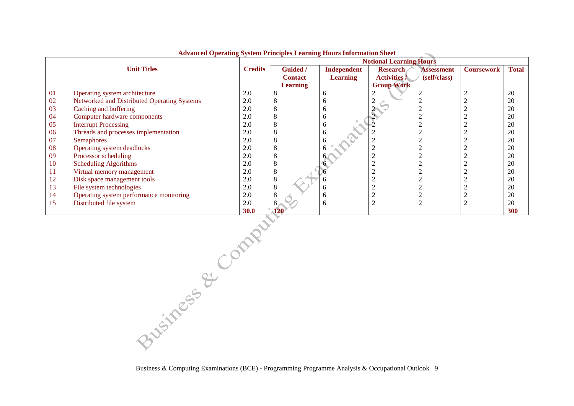|    | Auvanceu Operating bystem I rincipies Learning from 8 miorination Sheet |                |                 |                                |                     |                   |                   |                 |
|----|-------------------------------------------------------------------------|----------------|-----------------|--------------------------------|---------------------|-------------------|-------------------|-----------------|
|    |                                                                         |                |                 | <b>Notional Learning Hours</b> |                     |                   |                   |                 |
|    | <b>Unit Titles</b>                                                      | <b>Credits</b> | Guided /        | <b>Independent</b>             | <b>Research</b>     | <b>Assessment</b> | <b>Coursework</b> | <b>Total</b>    |
|    |                                                                         |                | <b>Contact</b>  | <b>Learning</b>                | <b>Activities</b> / | (self/class)      |                   |                 |
|    |                                                                         |                | <b>Learning</b> |                                | <b>Group Work</b>   |                   |                   |                 |
| 01 | Operating system architecture                                           | 2.0            |                 | 6                              |                     |                   |                   | 20              |
| 02 | Networked and Distributed Operating Systems                             | 2.0            |                 |                                |                     |                   |                   | 20              |
| 03 | Caching and buffering                                                   | 2.0            |                 |                                |                     |                   |                   | 20              |
| 04 | Computer hardware components                                            | 2.0            |                 |                                |                     |                   |                   | 20              |
| 05 | <b>Interrupt Processing</b>                                             | 2.0            |                 | o                              |                     |                   |                   | 20              |
| 06 | Threads and processes implementation                                    | 2.0            |                 |                                |                     |                   |                   | 20              |
| 07 | <b>Semaphores</b>                                                       | 2.0            |                 |                                |                     |                   |                   | 20              |
| 08 | Operating system deadlocks                                              | 2.0            |                 |                                |                     |                   |                   | 20              |
| 09 | Processor scheduling                                                    | 2.0            |                 |                                |                     |                   |                   | 20              |
| 10 | <b>Scheduling Algorithms</b>                                            | 2.0            |                 |                                |                     |                   |                   | 20              |
| 11 | Virtual memory management                                               | 2.0            |                 |                                |                     |                   |                   | 20              |
| 12 | Disk space management tools                                             | 2.0            |                 |                                |                     |                   |                   | 20              |
| 13 | File system technologies                                                | 2.0            |                 | h                              |                     |                   |                   | 20              |
| 14 | Operating system performance monitoring                                 | 2.0            |                 |                                |                     |                   |                   | 20              |
| 15 | Distributed file system                                                 | 2.0            |                 | h                              |                     |                   |                   | $\overline{20}$ |
|    |                                                                         | <b>30.0</b>    |                 |                                |                     |                   |                   | 300             |

**Advanced Operating System Principles Learning Hours Information Sheet**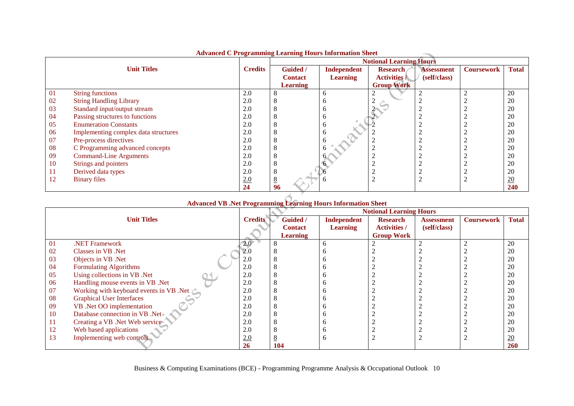|    | Auvanceu C 1 rogramming Learning riours mon mation sheet |                |                 |                 |                                |                   |                   |                  |
|----|----------------------------------------------------------|----------------|-----------------|-----------------|--------------------------------|-------------------|-------------------|------------------|
|    |                                                          |                |                 |                 | <b>Notional Learning Hours</b> |                   |                   |                  |
|    | <b>Unit Titles</b>                                       | <b>Credits</b> | Guided /        | Independent     | <b>Research</b>                | <b>Assessment</b> | <b>Coursework</b> | <b>Total</b>     |
|    |                                                          |                | <b>Contact</b>  | <b>Learning</b> | <b>Activities</b> /            | (self/class)      |                   |                  |
|    |                                                          |                | <b>Learning</b> |                 | <b>Group Work</b>              |                   |                   |                  |
| 01 | <b>String functions</b>                                  | 2.0            |                 | o               |                                |                   |                   | 20               |
| 02 | <b>String Handling Library</b>                           | 2.0            |                 | n               |                                |                   |                   | 20               |
| 03 | Standard input/output stream                             | 2.0            |                 | n               |                                |                   |                   | 20               |
| 04 | Passing structures to functions                          | 2.0            |                 | b               |                                |                   |                   | 20               |
| 05 | <b>Enumeration Constants</b>                             | 2.0            |                 | n               |                                |                   |                   | 20               |
| 06 | Implementing complex data structures                     | 2.0            |                 | o               |                                |                   |                   | 20               |
| 07 | Pre-process directives                                   | 2.0            |                 |                 |                                |                   |                   | 20               |
| 08 | C Programming advanced concepts                          | 2.0            |                 |                 |                                |                   |                   | 20               |
| 09 | <b>Command-Line Arguments</b>                            | 2.0            |                 |                 |                                |                   |                   | 20               |
| 10 | Strings and pointers                                     | 2.0            |                 |                 |                                |                   |                   | 20               |
| 11 | Derived data types                                       | 2.0            |                 |                 |                                |                   |                   | 20               |
| 12 | <b>Binary files</b>                                      | 2.0            | $\overline{8}$  |                 |                                |                   |                   | $\underline{20}$ |
|    |                                                          | 24             | 96              |                 |                                |                   |                   | 240              |

# **Advanced C Programming Learning Hours Information Sheet**

| Advanced VB .Net Programming Learning Hours Information Sheet |                                                   |                                |                 |                 |                     |                   |                   |              |  |
|---------------------------------------------------------------|---------------------------------------------------|--------------------------------|-----------------|-----------------|---------------------|-------------------|-------------------|--------------|--|
|                                                               |                                                   | <b>Notional Learning Hours</b> |                 |                 |                     |                   |                   |              |  |
|                                                               | <b>Unit Titles</b>                                | <b>Credits</b>                 | <b>Guided</b> / | Independent     | <b>Research</b>     | <b>Assessment</b> | <b>Coursework</b> | <b>Total</b> |  |
|                                                               |                                                   |                                | <b>Contact</b>  | <b>Learning</b> | <b>Activities /</b> | (self/class)      |                   |              |  |
|                                                               |                                                   |                                | <b>Learning</b> |                 | <b>Group Work</b>   |                   |                   |              |  |
| 01                                                            | .NET Framework                                    | 2.0 <sup>7</sup>               |                 |                 |                     |                   |                   | 20           |  |
| 02                                                            | Classes in VB .Net                                | 2.0                            |                 |                 |                     |                   |                   | 20           |  |
| 03                                                            | Objects in VB .Net                                | 2.0                            |                 |                 |                     |                   |                   | 20           |  |
| 04                                                            | <b>Formulating Algorithms</b>                     | 2.0                            |                 |                 |                     |                   |                   | 20           |  |
| 05                                                            | Using collections in VB .Net                      | 2.0                            | ◠               |                 |                     |                   |                   | 20           |  |
| 06                                                            | Handling mouse events in VB. Net                  | 2.0                            | ◠               |                 |                     |                   |                   | 20           |  |
| 07                                                            | Working with keyboard events in VB .Net $\subset$ | 2.0                            | ◠               |                 |                     |                   |                   | 20           |  |
| 08                                                            | <b>Graphical User Interfaces</b>                  | 2.0                            |                 |                 |                     |                   |                   | 20           |  |
| 09                                                            | VB .Net OO implementation                         | 2.0                            |                 |                 |                     |                   |                   | 20           |  |
| 10                                                            | Database connection in VB .Net                    | 2.0                            |                 |                 |                     |                   |                   | 20           |  |
| 11                                                            | Creating a VB .Net Web service                    | 2.0                            | ◠               |                 |                     |                   |                   | 20           |  |
| 12                                                            | Web based applications                            | 2.0                            | ◠               |                 |                     |                   |                   | 20           |  |
| 13                                                            | Implementing web controls                         | 2.0                            |                 |                 |                     |                   |                   | 20           |  |
|                                                               |                                                   | 26                             | 104             |                 |                     |                   |                   | <b>260</b>   |  |

#### **Advanced VB .Net Programming Learning Hours Information Sheet**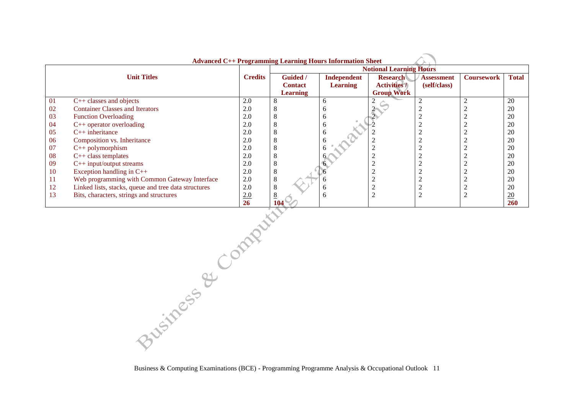| <b>Advanced C++ Programming Learning Hours Information Sheet</b> |                                                      |                |                 |                 |                     |                   |                   |                  |
|------------------------------------------------------------------|------------------------------------------------------|----------------|-----------------|-----------------|---------------------|-------------------|-------------------|------------------|
|                                                                  |                                                      |                |                 |                 |                     |                   |                   |                  |
|                                                                  | <b>Unit Titles</b>                                   | <b>Credits</b> | Guided /        | Independent     | <b>Research</b>     | <b>Assessment</b> | <b>Coursework</b> | <b>Total</b>     |
|                                                                  |                                                      |                | <b>Contact</b>  | <b>Learning</b> | <b>Activities</b> / | (self/class)      |                   |                  |
|                                                                  |                                                      |                | <b>Learning</b> |                 | <b>Group Work</b>   |                   |                   |                  |
| 01                                                               | $C++$ classes and objects                            | 2.0            | 8               | <sub>b</sub>    |                     |                   |                   | 20               |
| 02                                                               | <b>Container Classes and Iterators</b>               | 2.0            | Õ               |                 |                     |                   |                   | 20               |
| 03                                                               | <b>Function Overloading</b>                          | 2.0            | - 8             | n               |                     |                   |                   | 20               |
| 04                                                               | $C++$ operator overloading                           | 2.0            | C               | o               |                     |                   |                   | 20               |
| 05                                                               | $C_{++}$ inheritance                                 | 2.0            | 8               | <sub>0</sub>    |                     |                   |                   | 20               |
| 06                                                               | Composition vs. Inheritance                          | 2.0            | 8               |                 |                     |                   |                   | 20               |
| 07                                                               | $C++$ polymorphism                                   | 2.0            | 8               |                 |                     |                   |                   | 20               |
| 08                                                               | $C++$ class templates                                | 2.0            | 8               |                 |                     |                   |                   | 20               |
| 09                                                               | $C++$ input/output streams                           | 2.0            | 8               |                 |                     |                   |                   | 20               |
| 10                                                               | Exception handling in $C++$                          | 2.0            | 8               |                 |                     |                   |                   | 20               |
| 11                                                               | Web programming with Common Gateway Interface        | 2.0            | 8               |                 |                     |                   |                   | 20               |
| 12                                                               | Linked lists, stacks, queue and tree data structures | 2.0            | 8               |                 | $\sim$              |                   |                   | 20               |
| 13                                                               | Bits, characters, strings and structures             | 2.0            | 8               |                 | $\overline{2}$      |                   |                   | $\underline{20}$ |
|                                                                  |                                                      | <b>26</b>      | 104             |                 |                     |                   |                   | <b>260</b>       |